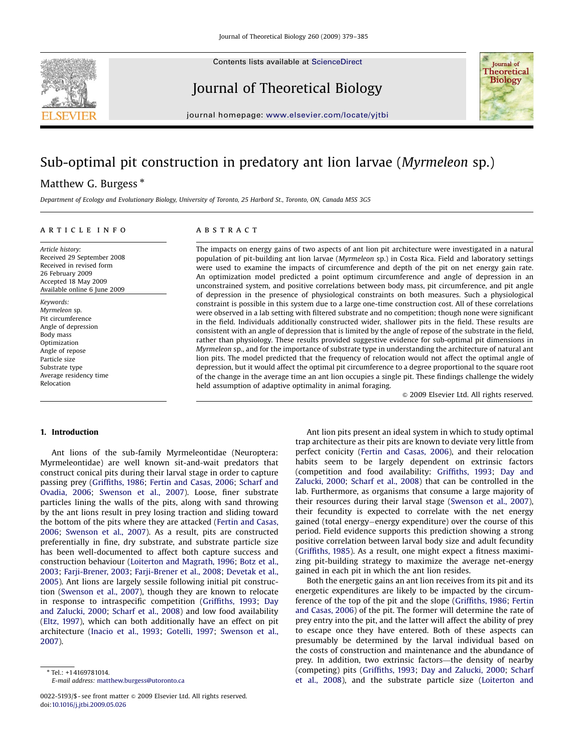

Contents lists available at [ScienceDirect](www.sciencedirect.com/science/journal/yjtbi)

Journal of Theoretical Biology



journal homepage: <www.elsevier.com/locate/yjtbi>

# Sub-optimal pit construction in predatory ant lion larvae (Myrmeleon sp.)

# Matthew G. Burgess<sup>\*</sup>

Department of Ecology and Evolutionary Biology, University of Toronto, 25 Harbord St., Toronto, ON, Canada M5S 3G5

#### article info

Article history: Received 29 September 2008 Received in revised form 26 February 2009 Accepted 18 May 2009 Available online 6 June 2009 Keywords: Myrmeleon sp.

Pit circumference Angle of depression Body mass Optimization Angle of repose Particle size Substrate type Average residency time Relocation

## **ABSTRACT**

The impacts on energy gains of two aspects of ant lion pit architecture were investigated in a natural population of pit-building ant lion larvae (Myrmeleon sp.) in Costa Rica. Field and laboratory settings were used to examine the impacts of circumference and depth of the pit on net energy gain rate. An optimization model predicted a point optimum circumference and angle of depression in an unconstrained system, and positive correlations between body mass, pit circumference, and pit angle of depression in the presence of physiological constraints on both measures. Such a physiological constraint is possible in this system due to a large one-time construction cost. All of these correlations were observed in a lab setting with filtered substrate and no competition; though none were significant in the field. Individuals additionally constructed wider, shallower pits in the field. These results are consistent with an angle of depression that is limited by the angle of repose of the substrate in the field, rather than physiology. These results provided suggestive evidence for sub-optimal pit dimensions in Myrmeleon sp., and for the importance of substrate type in understanding the architecture of natural ant lion pits. The model predicted that the frequency of relocation would not affect the optimal angle of depression, but it would affect the optimal pit circumference to a degree proportional to the square root of the change in the average time an ant lion occupies a single pit. These findings challenge the widely held assumption of adaptive optimality in animal foraging.

 $\circ$  2009 Elsevier Ltd. All rights reserved.

## 1. Introduction

Ant lions of the sub-family Myrmeleontidae (Neuroptera: Myrmeleontidae) are well known sit-and-wait predators that construct conical pits during their larval stage in order to capture passing prey [\(Griffiths, 1986](#page-6-0); [Fertin and Casas, 2006;](#page-6-0) [Scharf and](#page-6-0) [Ovadia, 2006](#page-6-0); [Swenson et al., 2007](#page-6-0)). Loose, finer substrate particles lining the walls of the pits, along with sand throwing by the ant lions result in prey losing traction and sliding toward the bottom of the pits where they are attacked ([Fertin and Casas,](#page-6-0) [2006](#page-6-0); [Swenson et al., 2007\)](#page-6-0). As a result, pits are constructed preferentially in fine, dry substrate, and substrate particle size has been well-documented to affect both capture success and construction behaviour ([Loiterton and Magrath, 1996](#page-6-0); [Botz et al.,](#page-5-0) [2003;](#page-5-0) [Farji-Brener, 2003;](#page-6-0) [Farji-Brener et al., 2008](#page-5-0); [Devetak et al.,](#page-5-0) [2005\)](#page-5-0). Ant lions are largely sessile following initial pit construction ([Swenson et al., 2007\)](#page-6-0), though they are known to relocate in response to intraspecific competition ([Griffiths, 1993;](#page-6-0) [Day](#page-5-0) [and Zalucki, 2000](#page-5-0); [Scharf et al., 2008\)](#page-6-0) and low food availability ([Eltz, 1997\)](#page-5-0), which can both additionally have an effect on pit architecture [\(Inacio et al., 1993;](#page-6-0) [Gotelli, 1997](#page-6-0); [Swenson et al.,](#page-6-0) [2007\)](#page-6-0).

Ant lion pits present an ideal system in which to study optimal trap architecture as their pits are known to deviate very little from perfect conicity ([Fertin and Casas, 2006](#page-6-0)), and their relocation habits seem to be largely dependent on extrinsic factors (competition and food availability: [Griffiths, 1993;](#page-6-0) [Day and](#page-5-0) [Zalucki, 2000;](#page-5-0) [Scharf et al., 2008\)](#page-6-0) that can be controlled in the lab. Furthermore, as organisms that consume a large majority of their resources during their larval stage [\(Swenson et al., 2007\)](#page-6-0), their fecundity is expected to correlate with the net energy gained (total energy-energy expenditure) over the course of this period. Field evidence supports this prediction showing a strong positive correlation between larval body size and adult fecundity ([Griffiths, 1985](#page-6-0)). As a result, one might expect a fitness maximizing pit-building strategy to maximize the average net-energy gained in each pit in which the ant lion resides.

Both the energetic gains an ant lion receives from its pit and its energetic expenditures are likely to be impacted by the circumference of the top of the pit and the slope [\(Griffiths, 1986](#page-6-0); [Fertin](#page-6-0) [and Casas, 2006](#page-6-0)) of the pit. The former will determine the rate of prey entry into the pit, and the latter will affect the ability of prey to escape once they have entered. Both of these aspects can presumably be determined by the larval individual based on the costs of construction and maintenance and the abundance of prey. In addition, two extrinsic factors—the density of nearby (competing) pits ([Griffiths, 1993;](#page-6-0) [Day and Zalucki, 2000](#page-5-0); [Scharf](#page-6-0) [et al., 2008](#page-6-0)), and the substrate particle size [\(Loiterton and](#page-6-0)

<sup>-</sup> Tel.: +14169781014. E-mail address: [matthew.burgess@utoronto.ca](mailto:matthew.burgess@utoronto.ca)

<sup>0022-5193/\$ -</sup> see front matter  $\circ$  2009 Elsevier Ltd. All rights reserved. doi:[10.1016/j.jtbi.2009.05.026](dx.doi.org/10.1016/j.jtbi.2009.05.026)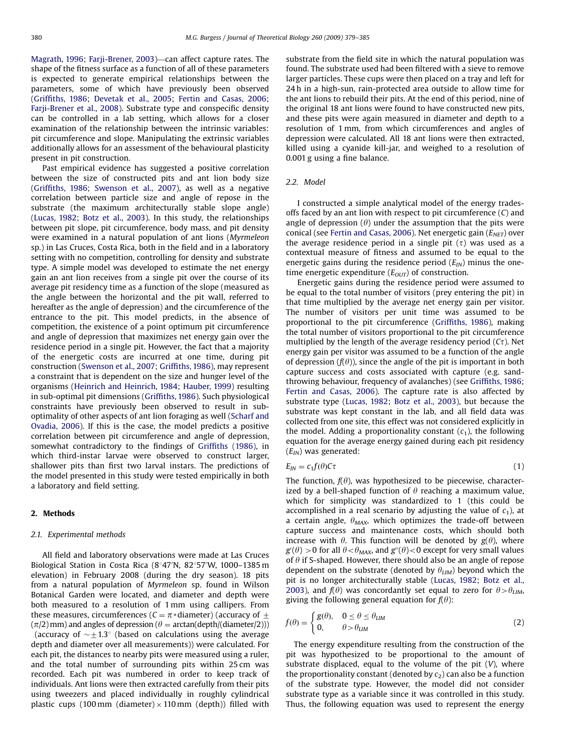[Magrath, 1996;](#page-6-0) [Farji-Brener, 2003\)](#page-6-0)—can affect capture rates. The shape of the fitness surface as a function of all of these parameters is expected to generate empirical relationships between the parameters, some of which have previously been observed ([Griffiths, 1986;](#page-6-0) [Devetak et al., 2005](#page-5-0); [Fertin and Casas, 2006;](#page-6-0) [Farji-Brener et al., 2008](#page-5-0)). Substrate type and conspecific density can be controlled in a lab setting, which allows for a closer examination of the relationship between the intrinsic variables: pit circumference and slope. Manipulating the extrinsic variables additionally allows for an assessment of the behavioural plasticity present in pit construction.

Past empirical evidence has suggested a positive correlation between the size of constructed pits and ant lion body size ([Griffiths, 1986](#page-6-0); [Swenson et al., 2007\)](#page-6-0), as well as a negative correlation between particle size and angle of repose in the substrate (the maximum architecturally stable slope angle) ([Lucas, 1982;](#page-6-0) [Botz et al., 2003](#page-5-0)). In this study, the relationships between pit slope, pit circumference, body mass, and pit density were examined in a natural population of ant lions (Myrmeleon sp.) in Las Cruces, Costa Rica, both in the field and in a laboratory setting with no competition, controlling for density and substrate type. A simple model was developed to estimate the net energy gain an ant lion receives from a single pit over the course of its average pit residency time as a function of the slope (measured as the angle between the horizontal and the pit wall, referred to hereafter as the angle of depression) and the circumference of the entrance to the pit. This model predicts, in the absence of competition, the existence of a point optimum pit circumference and angle of depression that maximizes net energy gain over the residence period in a single pit. However, the fact that a majority of the energetic costs are incurred at one time, during pit construction ([Swenson et al., 2007](#page-6-0); [Griffiths, 1986](#page-6-0)), may represent a constraint that is dependent on the size and hunger level of the organisms [\(Heinrich and Heinrich, 1984](#page-6-0); [Hauber, 1999\)](#page-6-0) resulting in sub-optimal pit dimensions ([Griffiths, 1986](#page-6-0)). Such physiological constraints have previously been observed to result in suboptimality of other aspects of ant lion foraging as well ([Scharf and](#page-6-0) [Ovadia, 2006](#page-6-0)). If this is the case, the model predicts a positive correlation between pit circumference and angle of depression, somewhat contradictory to the findings of [Griffiths \(1986\),](#page-6-0) in which third-instar larvae were observed to construct larger, shallower pits than first two larval instars. The predictions of the model presented in this study were tested empirically in both a laboratory and field setting.

### 2. Methods

## 2.1. Experimental methods

All field and laboratory observations were made at Las Cruces Biological Station in Costa Rica (8°47'N, 82°57'W, 1000-1385 m elevation) in February 2008 (during the dry season). 18 pits from a natural population of Myrmeleon sp. found in Wilson Botanical Garden were located, and diameter and depth were both measured to a resolution of 1 mm using callipers. From these measures, circumferences ( $C = \pi *$ diameter) (accuracy of  $\pm$  $(\pi/2)$  mm) and angles of depression ( $\theta = \arctan(\text{depth}/(\text{diameter}/2)))$ (accuracy of  $\sim \pm 1.3^{\circ}$  (based on calculations using the average depth and diameter over all measurements)) were calculated. For each pit, the distances to nearby pits were measured using a ruler, and the total number of surrounding pits within 25 cm was recorded. Each pit was numbered in order to keep track of individuals. Ant lions were then extracted carefully from their pits using tweezers and placed individually in roughly cylindrical plastic cups (100 mm (diameter)  $\times$  110 mm (depth)) filled with substrate from the field site in which the natural population was found. The substrate used had been filtered with a sieve to remove larger particles. These cups were then placed on a tray and left for 24 h in a high-sun, rain-protected area outside to allow time for the ant lions to rebuild their pits. At the end of this period, nine of the original 18 ant lions were found to have constructed new pits, and these pits were again measured in diameter and depth to a resolution of 1 mm, from which circumferences and angles of depression were calculated. All 18 ant lions were then extracted, killed using a cyanide kill-jar, and weighed to a resolution of 0.001 g using a fine balance.

#### 2.2. Model

I constructed a simple analytical model of the energy tradesoffs faced by an ant lion with respect to pit circumference (C) and angle of depression  $(\theta)$  under the assumption that the pits were conical (see [Fertin and Casas, 2006\)](#page-6-0). Net energetic gain ( $E_{NET}$ ) over the average residence period in a single pit  $(\tau)$  was used as a contextual measure of fitness and assumed to be equal to the energetic gains during the residence period  $(E_{IN})$  minus the onetime energetic expenditure  $(E_{OUT})$  of construction.

Energetic gains during the residence period were assumed to be equal to the total number of visitors (prey entering the pit) in that time multiplied by the average net energy gain per visitor. The number of visitors per unit time was assumed to be proportional to the pit circumference [\(Griffiths, 1986](#page-6-0)), making the total number of visitors proportional to the pit circumference multiplied by the length of the average residency period ( $C_{\tau}$ ). Net energy gain per visitor was assumed to be a function of the angle of depression  $(f(\theta))$ , since the angle of the pit is important in both capture success and costs associated with capture (e.g. sandthrowing behaviour, frequency of avalanches) (see [Griffiths, 1986;](#page-6-0) [Fertin and Casas, 2006](#page-6-0)). The capture rate is also affected by substrate type [\(Lucas, 1982](#page-6-0); [Botz et al., 2003](#page-5-0)), but because the substrate was kept constant in the lab, and all field data was collected from one site, this effect was not considered explicitly in the model. Adding a proportionality constant  $(c_1)$ , the following equation for the average energy gained during each pit residency  $(E_{IN})$  was generated:

$$
E_{IN} = c_1 f(\theta) C \tau \tag{1}
$$

The function,  $f(\theta)$ , was hypothesized to be piecewise, characterized by a bell-shaped function of  $\theta$  reaching a maximum value, which for simplicity was standardized to 1 (this could be accomplished in a real scenario by adjusting the value of  $c_1$ ), at a certain angle,  $\theta_{MAX}$ , which optimizes the trade-off between capture success and maintenance costs, which should both increase with  $\theta$ . This function will be denoted by  $g(\theta)$ , where  $g'(\theta) > 0$  for all  $\theta < \theta_{MAX}$ , and  $g''(\theta) < 0$  except for very small values of  $\theta$  if S-shaped. However, there should also be an angle of repose dependent on the substrate (denoted by  $\theta_{LIM}$ ) beyond which the pit is no longer architecturally stable ([Lucas, 1982;](#page-6-0) [Botz et al.,](#page-5-0) [2003](#page-5-0)), and  $f(\theta)$  was concordantly set equal to zero for  $\theta > \theta_{LIM}$ , giving the following general equation for  $f(\theta)$ :

$$
f(\theta) = \begin{cases} g(\theta), & 0 \le \theta \le \theta_{\text{LIM}} \\ 0, & \theta > \theta_{\text{LIM}} \end{cases}
$$
 (2)

The energy expenditure resulting from the construction of the pit was hypothesized to be proportional to the amount of substrate displaced, equal to the volume of the pit  $(V)$ , where the proportionality constant (denoted by  $c_2$ ) can also be a function of the substrate type. However, the model did not consider substrate type as a variable since it was controlled in this study. Thus, the following equation was used to represent the energy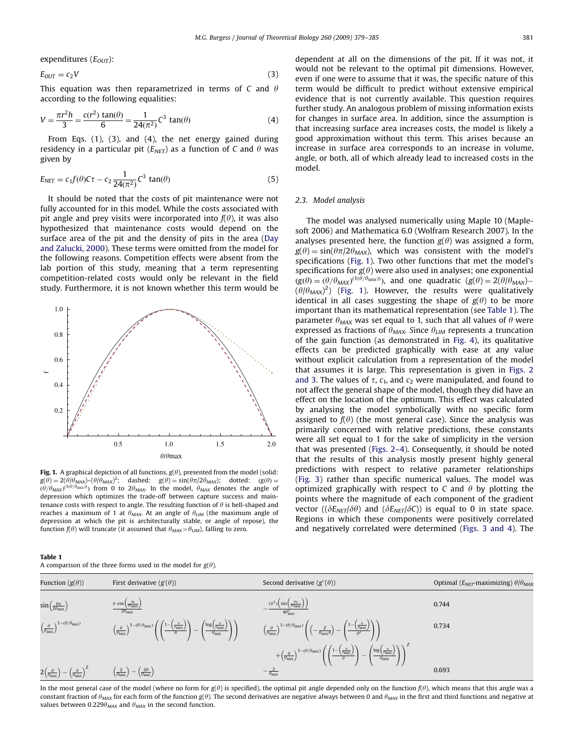expenditures  $(E_{OUT})$ :

$$
E_{OUT} = c_2 V \tag{3}
$$

This equation was then reparametrized in terms of C and  $\theta$ according to the following equalities:

$$
V = \frac{\pi r^2 h}{3} = \frac{c(r^2) \tan(\theta)}{6} = \frac{1}{24(\pi^2)} C^3 \tan(\theta)
$$
 (4)

From Eqs. (1), (3), and (4), the net energy gained during residency in a particular pit ( $E_{NET}$ ) as a function of C and  $\theta$  was given by

$$
E_{NET} = c_1 f(\theta) C \tau - c_2 \frac{1}{24(\pi^2)} C^3 \tan(\theta)
$$
\n(5)

It should be noted that the costs of pit maintenance were not fully accounted for in this model. While the costs associated with pit angle and prey visits were incorporated into  $f(\theta)$ , it was also hypothesized that maintenance costs would depend on the surface area of the pit and the density of pits in the area ([Day](#page-5-0) [and Zalucki, 2000](#page-5-0)). These terms were omitted from the model for the following reasons. Competition effects were absent from the lab portion of this study, meaning that a term representing competition-related costs would only be relevant in the field study. Furthermore, it is not known whether this term would be



**Fig. 1.** A graphical depiction of all functions,  $g(\theta)$ , presented from the model (solid:  $g(\theta) = 2(\theta/\theta_{MAX})-(\theta/\theta_{MAX})^2$ ; dashed:  $g(\theta) = \sin(\theta \pi/2\theta_{MAX})$ ; dotted:  $(g(\theta) =$  $(\theta/\theta_{MAX})^{(1(\theta/\theta_{MAX}))}$  from 0 to 2 $\theta_{MAX}$ . In the model,  $\theta_{MAX}$  denotes the angle of depression which optimizes the trade-off between capture success and maintenance costs with respect to angle. The resulting function of  $\theta$  is bell-shaped and reaches a maximum of 1 at  $\theta_{MAX}$ . At an angle of  $\theta_{LIM}$  (the maximum angle of depression at which the pit is architecturally stable, or angle of repose), the function  $f(\theta)$  will truncate (it assumed that  $\theta_{MAX} > \theta_{LIM}$ ), falling to zero.

A comparison of the three forms used in the model for  $g(\theta)$ .

dependent at all on the dimensions of the pit. If it was not, it would not be relevant to the optimal pit dimensions. However, even if one were to assume that it was, the specific nature of this term would be difficult to predict without extensive empirical evidence that is not currently available. This question requires further study. An analogous problem of missing information exists for changes in surface area. In addition, since the assumption is that increasing surface area increases costs, the model is likely a good approximation without this term. This arises because an increase in surface area corresponds to an increase in volume, angle, or both, all of which already lead to increased costs in the model.

#### 2.3. Model analysis

The model was analysed numerically using Maple 10 (Maplesoft 2006) and Mathematica 6.0 (Wolfram Research 2007). In the analyses presented here, the function  $g(\theta)$  was assigned a form,  $g(\theta) = \sin(\theta \pi/2\theta_{MAX})$ , which was consistent with the model's specifications (Fig. 1). Two other functions that met the model's specifications for  $g(\theta)$  were also used in analyses; one exponential  $(g(\theta) = (\theta/\theta_{MAX})^{(1(\theta/\theta_{MAX}))})$ , and one quadratic  $(g(\theta) = 2(\theta/\theta_{MAX})$ - $(\theta/\theta_{MAX})^2$ ) (Fig. 1). However, the results were qualitatively identical in all cases suggesting the shape of  $g(\theta)$  to be more important than its mathematical representation (see Table 1). The parameter  $\theta_{MAX}$  was set equal to 1, such that all values of  $\theta$  were expressed as fractions of  $\theta_{MAX}$ . Since  $\theta_{LIM}$  represents a truncation of the gain function (as demonstrated in [Fig. 4](#page-3-0)), its qualitative effects can be predicted graphically with ease at any value without explicit calculation from a representation of the model that assumes it is large. This representation is given in [Figs. 2](#page-3-0) [and 3](#page-3-0). The values of  $\tau$ ,  $c_1$ , and  $c_2$  were manipulated, and found to not affect the general shape of the model, though they did have an effect on the location of the optimum. This effect was calculated by analysing the model symbolically with no specific form assigned to  $f(\theta)$  (the most general case). Since the analysis was primarily concerned with relative predictions, these constants were all set equal to 1 for the sake of simplicity in the version that was presented [\(Figs. 2–4\)](#page-3-0). Consequently, it should be noted that the results of this analysis mostly present highly general predictions with respect to relative parameter relationships ([Fig. 3](#page-3-0)) rather than specific numerical values. The model was optimized graphically with respect to C and  $\theta$  by plotting the points where the magnitude of each component of the gradient vector (( $\delta E_{\text{NET}}/\delta \theta$ ) and ( $\delta E_{\text{NET}}/\delta C$ )) is equal to 0 in state space. Regions in which these components were positively correlated and negatively correlated were determined [\(Figs. 3 and 4\)](#page-3-0). The



In the most general case of the model (where no form for  $g(\theta)$  is specified), the optimal pit angle depended only on the function  $f(\theta)$ , which means that this angle was a constant fraction of  $\theta_{MAX}$  for each form of the function  $g(\theta)$ . The second derivatives are negative always between 0 and  $\theta_{MAX}$  in the first and third functions and negative at values between 0.229 $\theta_{MAX}$  and  $\theta_{MAX}$  in the second function.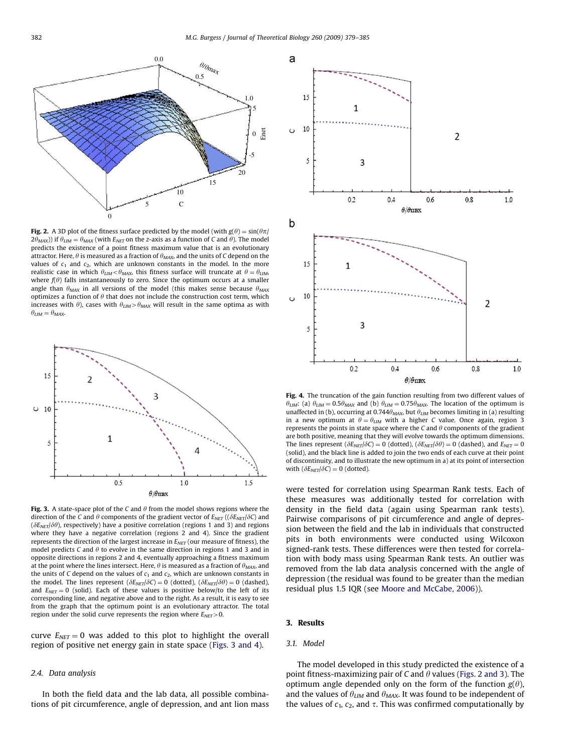<span id="page-3-0"></span>

**Fig. 2.** A 3D plot of the fitness surface predicted by the model (with  $g(\theta) = \sin(\theta \pi)$  $2\theta_{MAX}$ )) if  $\theta_{LIM} = \theta_{MAX}$  (with  $E_{NET}$  on the z-axis as a function of C and  $\theta$ ). The model predicts the existence of a point fitness maximum value that is an evolutionary attractor. Here,  $\theta$  is measured as a fraction of  $\theta_{MAX}$ , and the units of C depend on the values of  $c_1$  and  $c_2$ , which are unknown constants in the model. In the more realistic case in which  $\theta_{LIM} < \theta_{MAX}$ , this fitness surface will truncate at  $\theta = \theta_{LIM}$ , where  $f(\theta)$  falls instantaneously to zero. Since the optimum occurs at a smaller angle than  $\theta_{MAX}$  in all versions of the model (this makes sense because  $\theta_{MAX}$ optimizes a function of  $\theta$  that does not include the construction cost term, which increases with  $\theta$ ), cases with  $\theta_{LIM} > \theta_{MAX}$  will result in the same optima as with  $\theta_{LIM} = \theta_{MAX}$ .



Fig. 3. A state-space plot of the C and  $\theta$  from the model shows regions where the direction of the C and  $\theta$  components of the gradient vector of  $E_{NET}$  (( $\delta E_{NET}/\delta C$ ) and  $(\delta E_{NET}/\delta \theta)$ , respectively) have a positive correlation (regions 1 and 3) and regions where they have a negative correlation (regions 2 and 4). Since the gradient represents the direction of the largest increase in  $E<sub>NET</sub>$  (our measure of fitness), the model predicts C and  $\theta$  to evolve in the same direction in regions 1 and 3 and in opposite directions in regions 2 and 4, eventually approaching a fitness maximum at the point where the lines intersect. Here,  $\theta$  is measured as a fraction of  $\theta_{MAX}$ , and the units of C depend on the values of  $c_1$  and  $c_2$ , which are unknown constants in the model. The lines represent  $(\delta E_{NET}/\delta C) = 0$  (dotted),  $(\delta E_{NET}/\delta \theta) = 0$  (dashed), and  $E_{NFT} = 0$  (solid). Each of these values is positive below/to the left of its corresponding line, and negative above and to the right. As a result, it is easy to see from the graph that the optimum point is an evolutionary attractor. The total region under the solid curve represents the region where  $E_{NET} > 0$ .

curve  $E_{NET} = 0$  was added to this plot to highlight the overall region of positive net energy gain in state space (Figs. 3 and 4).

## 2.4. Data analysis

In both the field data and the lab data, all possible combinations of pit circumference, angle of depression, and ant lion mass



Fig. 4. The truncation of the gain function resulting from two different values of  $\theta_{\text{LIM}}$ : (a)  $\theta_{\text{LIM}} = 0.5\theta_{\text{MAX}}$  and (b)  $\theta_{\text{LIM}} = 0.75\theta_{\text{MAX}}$ . The location of the optimum is unaffected in (b), occurring at 0.744 $\theta_{MAX}$ , but  $\theta_{LIM}$  becomes limiting in (a) resulting in a new optimum at  $\theta = \theta_{LIM}$  with a higher C value. Once again, region 3 represents the points in state space where the  $C$  and  $\theta$  components of the gradient are both positive, meaning that they will evolve towards the optimum dimensions. The lines represent ( $\delta E_{NET}/\delta C$ ) = 0 (dotted), ( $\delta E_{NET}/\delta \theta$ ) = 0 (dashed), and  $E_{NET}$  = 0 (solid), and the black line is added to join the two ends of each curve at their point of discontinuity, and to illustrate the new optimum in a) at its point of intersection with  $(\delta E_{NET}/\delta C) = 0$  (dotted).

were tested for correlation using Spearman Rank tests. Each of these measures was additionally tested for correlation with density in the field data (again using Spearman rank tests). Pairwise comparisons of pit circumference and angle of depression between the field and the lab in individuals that constructed pits in both environments were conducted using Wilcoxon signed-rank tests. These differences were then tested for correlation with body mass using Spearman Rank tests. An outlier was removed from the lab data analysis concerned with the angle of depression (the residual was found to be greater than the median residual plus 1.5 IQR (see [Moore and McCabe, 2006\)](#page-6-0)).

### 3. Results

#### 3.1. Model

The model developed in this study predicted the existence of a point fitness-maximizing pair of C and  $\theta$  values (Figs. 2 and 3). The optimum angle depended only on the form of the function  $g(\theta)$ , and the values of  $\theta_{LIM}$  and  $\theta_{MAX}$ . It was found to be independent of the values of  $c_1$ ,  $c_2$ , and  $\tau$ . This was confirmed computationally by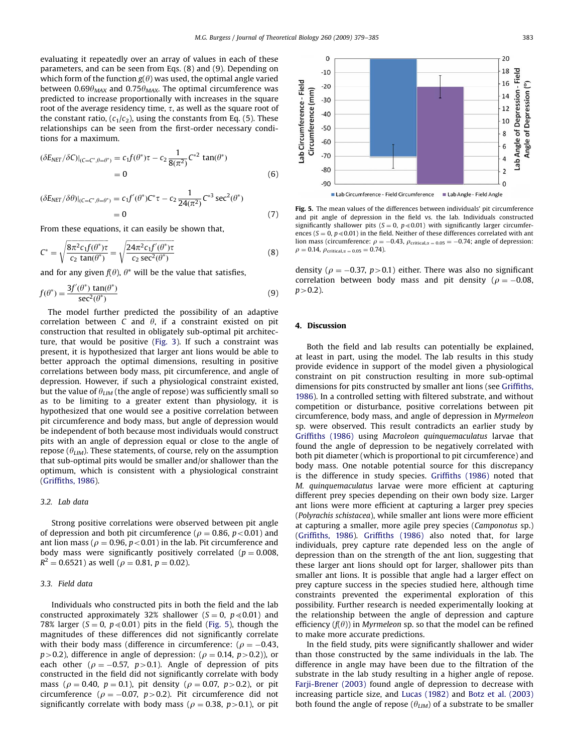evaluating it repeatedly over an array of values in each of these parameters, and can be seen from Eqs. (8) and (9). Depending on which form of the function  $g(\theta)$  was used, the optimal angle varied between 0.69 $\theta_{MAX}$  and 0.75 $\theta_{MAX}$ . The optimal circumference was predicted to increase proportionally with increases in the square root of the average residency time,  $\tau$ , as well as the square root of the constant ratio,  $(c_1/c_2)$ , using the constants from Eq. (5). These relationships can be seen from the first-order necessary conditions for a maximum.

$$
(\delta E_{NET} / \delta C)|_{(C=C^*, \theta = \theta^*)} = c_1 f(\theta^*) \tau - c_2 \frac{1}{8(\pi^2)} C^{*2} \tan(\theta^*)
$$
  
= 0 (6)

$$
(\delta E_{NET} / \delta \theta)|_{(C=C^*,\theta=\theta^*)} = c_1 f'(\theta^*) C^* \tau - c_2 \frac{1}{24(\pi^2)} C^{*3} \sec^2(\theta^*)
$$
  
= 0 (7)

From these equations, it can easily be shown that,

$$
C^* = \sqrt{\frac{8\pi^2 c_1 f(\theta^*) \tau}{c_2 \tan(\theta^*)}} = \sqrt{\frac{24\pi^2 c_1 f'(\theta^*) \tau}{c_2 \sec^2(\theta^*)}}
$$
(8)

and for any given  $f(\theta)$ ,  $\theta^*$  will be the value that satisfies,

$$
f(\theta^*) = \frac{3f'(\theta^*)\tan(\theta^*)}{\sec^2(\theta^*)}
$$
\n(9)

The model further predicted the possibility of an adaptive correlation between C and  $\theta$ , if a constraint existed on pit construction that resulted in obligately sub-optimal pit architecture, that would be positive ([Fig. 3](#page-3-0)). If such a constraint was present, it is hypothesized that larger ant lions would be able to better approach the optimal dimensions, resulting in positive correlations between body mass, pit circumference, and angle of depression. However, if such a physiological constraint existed, but the value of  $\theta_{LM}$  (the angle of repose) was sufficiently small so as to be limiting to a greater extent than physiology, it is hypothesized that one would see a positive correlation between pit circumference and body mass, but angle of depression would be independent of both because most individuals would construct pits with an angle of depression equal or close to the angle of repose ( $\theta_{LM}$ ). These statements, of course, rely on the assumption that sub-optimal pits would be smaller and/or shallower than the optimum, which is consistent with a physiological constraint ([Griffiths, 1986\)](#page-6-0).

## 3.2. Lab data

Strong positive correlations were observed between pit angle of depression and both pit circumference ( $\rho = 0.86$ ,  $p < 0.01$ ) and ant lion mass ( $\rho = 0.96$ ,  $p < 0.01$ ) in the lab. Pit circumference and body mass were significantly positively correlated ( $p = 0.008$ ,  $R^2 = 0.6521$ ) as well ( $\rho = 0.81$ ,  $p = 0.02$ ).

#### 3.3. Field data

Individuals who constructed pits in both the field and the lab constructed approximately 32% shallower ( $S = 0$ ,  $p \ll 0.01$ ) and 78% larger (S = 0,  $p \ll 0.01$ ) pits in the field (Fig. 5), though the magnitudes of these differences did not significantly correlate with their body mass (difference in circumference:  $(\rho = -0.43,$  $p>0.2$ ), difference in angle of depression: ( $\rho = 0.14$ ,  $p>0.2$ )), or each other ( $\rho = -0.57$ ,  $p > 0.1$ ). Angle of depression of pits constructed in the field did not significantly correlate with body mass ( $\rho = 0.40$ ,  $p = 0.1$ ), pit density ( $\rho = 0.07$ ,  $p > 0.2$ ), or pit circumference ( $\rho = -0.07$ ,  $p > 0.2$ ). Pit circumference did not significantly correlate with body mass ( $\rho = 0.38$ ,  $p > 0.1$ ), or pit



Fig. 5. The mean values of the differences between individuals' pit circumference and pit angle of depression in the field vs. the lab. Individuals constructed significantly shallower pits ( $S = 0$ ,  $p \ll 0.01$ ) with significantly larger circumferences ( $S = 0$ ,  $p \ll 0.01$ ) in the field. Neither of these differences correlated with ant lion mass (circumference:  $\rho = -0.43$ ,  $\rho_{critical,x = 0.05} = -0.74$ ; angle of depression:  $\rho = 0.14$ ,  $\rho_{critical,x = 0.05} = 0.74$ ).

density ( $\rho = -0.37$ ,  $p > 0.1$ ) either. There was also no significant correlation between body mass and pit density ( $\rho = -0.08$ ,  $p > 0.2$ ).

## 4. Discussion

Both the field and lab results can potentially be explained, at least in part, using the model. The lab results in this study provide evidence in support of the model given a physiological constraint on pit construction resulting in more sub-optimal dimensions for pits constructed by smaller ant lions (see [Griffiths,](#page-6-0) [1986](#page-6-0)). In a controlled setting with filtered substrate, and without competition or disturbance, positive correlations between pit circumference, body mass, and angle of depression in Myrmeleon sp. were observed. This result contradicts an earlier study by [Griffiths \(1986\)](#page-6-0) using Macroleon quinquemaculatus larvae that found the angle of depression to be negatively correlated with both pit diameter (which is proportional to pit circumference) and body mass. One notable potential source for this discrepancy is the difference in study species. [Griffiths \(1986\)](#page-6-0) noted that M. quinquemaculatus larvae were more efficient at capturing different prey species depending on their own body size. Larger ant lions were more efficient at capturing a larger prey species (Polyrachis schistacea), while smaller ant lions were more efficient at capturing a smaller, more agile prey species (Camponotus sp.) ([Griffiths, 1986\)](#page-6-0). [Griffiths \(1986\)](#page-6-0) also noted that, for large individuals, prey capture rate depended less on the angle of depression than on the strength of the ant lion, suggesting that these larger ant lions should opt for larger, shallower pits than smaller ant lions. It is possible that angle had a larger effect on prey capture success in the species studied here, although time constraints prevented the experimental exploration of this possibility. Further research is needed experimentally looking at the relationship between the angle of depression and capture efficiency ( $f(\theta)$ ) in Myrmeleon sp. so that the model can be refined to make more accurate predictions.

In the field study, pits were significantly shallower and wider than those constructed by the same individuals in the lab. The difference in angle may have been due to the filtration of the substrate in the lab study resulting in a higher angle of repose. [Farji-Brener \(2003\)](#page-6-0) found angle of depression to decrease with increasing particle size, and [Lucas \(1982\)](#page-6-0) and [Botz et al. \(2003\)](#page-5-0) both found the angle of repose ( $\theta_{LIM}$ ) of a substrate to be smaller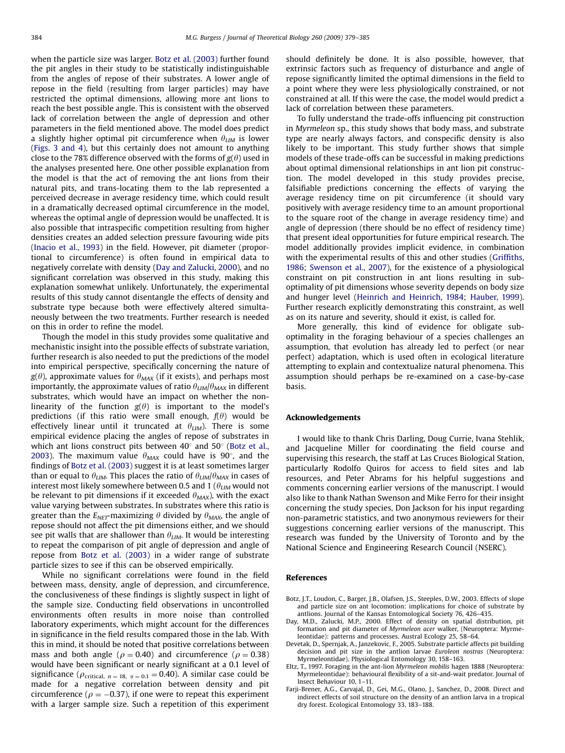<span id="page-5-0"></span>when the particle size was larger. Botz et al. (2003) further found the pit angles in their study to be statistically indistinguishable from the angles of repose of their substrates. A lower angle of repose in the field (resulting from larger particles) may have restricted the optimal dimensions, allowing more ant lions to reach the best possible angle. This is consistent with the observed lack of correlation between the angle of depression and other parameters in the field mentioned above. The model does predict a slightly higher optimal pit circumference when  $\theta_{LIM}$  is lower ([Figs. 3 and 4\)](#page-3-0), but this certainly does not amount to anything close to the 78% difference observed with the forms of  $g(\theta)$  used in the analyses presented here. One other possible explanation from the model is that the act of removing the ant lions from their natural pits, and trans-locating them to the lab represented a perceived decrease in average residency time, which could result in a dramatically decreased optimal circumference in the model, whereas the optimal angle of depression would be unaffected. It is also possible that intraspecific competition resulting from higher densities creates an added selection pressure favouring wide pits ([Inacio et al., 1993](#page-6-0)) in the field. However, pit diameter (proportional to circumference) is often found in empirical data to negatively correlate with density (Day and Zalucki, 2000), and no significant correlation was observed in this study, making this explanation somewhat unlikely. Unfortunately, the experimental results of this study cannot disentangle the effects of density and substrate type because both were effectively altered simultaneously between the two treatments. Further research is needed on this in order to refine the model.

Though the model in this study provides some qualitative and mechanistic insight into the possible effects of substrate variation, further research is also needed to put the predictions of the model into empirical perspective, specifically concerning the nature of  $g(\theta)$ , approximate values for  $\theta_{MAX}$  (if it exists), and perhaps most importantly, the approximate values of ratio  $\theta_{\text{LIM}}/\theta_{\text{MAX}}$  in different substrates, which would have an impact on whether the nonlinearity of the function  $g(\theta)$  is important to the model's predictions (if this ratio were small enough,  $f(\theta)$  would be effectively linear until it truncated at  $\theta_{LM}$ ). There is some empirical evidence placing the angles of repose of substrates in which ant lions construct pits between  $40^{\circ}$  and  $50^{\circ}$  (Botz et al., 2003). The maximum value  $\theta_{MAX}$  could have is 90°, and the findings of Botz et al. (2003) suggest it is at least sometimes larger than or equal to  $\theta_{\text{LIM}}$ . This places the ratio of  $\theta_{\text{LIM}}/\theta_{\text{MAX}}$  in cases of interest most likely somewhere between 0.5 and 1 ( $\theta_{LIM}$  would not be relevant to pit dimensions if it exceeded  $\theta_{MAX}$ , with the exact value varying between substrates. In substrates where this ratio is greater than the  $E_{NET}$ -maximizing  $\theta$  divided by  $\theta_{MAX}$ , the angle of repose should not affect the pit dimensions either, and we should see pit walls that are shallower than  $\theta_{LIM}$ . It would be interesting to repeat the comparison of pit angle of depression and angle of repose from Botz et al. (2003) in a wider range of substrate particle sizes to see if this can be observed empirically.

While no significant correlations were found in the field between mass, density, angle of depression, and circumference, the conclusiveness of these findings is slightly suspect in light of the sample size. Conducting field observations in uncontrolled environments often results in more noise than controlled laboratory experiments, which might account for the differences in significance in the field results compared those in the lab. With this in mind, it should be noted that positive correlations between mass and both angle ( $\rho = 0.40$ ) and circumference ( $\rho = 0.38$ ) would have been significant or nearly significant at a 0.1 level of significance ( $\rho_{\text{critical, } n = 18, \alpha = 0.1} = 0.40$ ). A similar case could be made for a negative correlation between density and pit circumference ( $\rho = -0.37$ ), if one were to repeat this experiment with a larger sample size. Such a repetition of this experiment should definitely be done. It is also possible, however, that extrinsic factors such as frequency of disturbance and angle of repose significantly limited the optimal dimensions in the field to a point where they were less physiologically constrained, or not constrained at all. If this were the case, the model would predict a lack of correlation between these parameters.

To fully understand the trade-offs influencing pit construction in Myrmeleon sp., this study shows that body mass, and substrate type are nearly always factors, and conspecific density is also likely to be important. This study further shows that simple models of these trade-offs can be successful in making predictions about optimal dimensional relationships in ant lion pit construction. The model developed in this study provides precise, falsifiable predictions concerning the effects of varying the average residency time on pit circumference (it should vary positively with average residency time to an amount proportional to the square root of the change in average residency time) and angle of depression (there should be no effect of residency time) that present ideal opportunities for future empirical research. The model additionally provides implicit evidence, in combination with the experimental results of this and other studies [\(Griffiths,](#page-6-0) [1986](#page-6-0); [Swenson et al., 2007\)](#page-6-0), for the existence of a physiological constraint on pit construction in ant lions resulting in suboptimality of pit dimensions whose severity depends on body size and hunger level [\(Heinrich and Heinrich, 1984;](#page-6-0) [Hauber, 1999\)](#page-6-0). Further research explicitly demonstrating this constraint, as well as on its nature and severity, should it exist, is called for.

More generally, this kind of evidence for obligate suboptimality in the foraging behaviour of a species challenges an assumption, that evolution has already led to perfect (or near perfect) adaptation, which is used often in ecological literature attempting to explain and contextualize natural phenomena. This assumption should perhaps be re-examined on a case-by-case basis.

#### Acknowledgements

I would like to thank Chris Darling, Doug Currie, Ivana Stehlik, and Jacqueline Miller for coordinating the field course and supervising this research, the staff at Las Cruces Biological Station, particularly Rodolfo Quiros for access to field sites and lab resources, and Peter Abrams for his helpful suggestions and comments concerning earlier versions of the manuscript. I would also like to thank Nathan Swenson and Mike Ferro for their insight concerning the study species, Don Jackson for his input regarding non-parametric statistics, and two anonymous reviewers for their suggestions concerning earlier versions of the manuscript. This research was funded by the University of Toronto and by the National Science and Engineering Research Council (NSERC).

## References

- Botz, J.T., Loudon, C., Barger, J.B., Olafsen, J.S., Steeples, D.W., 2003. Effects of slope and particle size on ant locomotion: implications for choice of substrate by antlions. Journal of the Kansas Entomological Society 76, 426–435.
- Day, M.D., Zalucki, M.P., 2000. Effect of density on spatial distribution, pit formation and pit diameter of Myrmeleon acer walker, (Neuroptera: Myrmeleontidae): patterns and processes. Austral Ecology 25, 58–64.
- Devetak, D., Spernjak, A., Janzekovic, F., 2005. Substrate particle affects pit building decision and pit size in the antlion larvae Euroleon nostras (Neuroptera: Myrmeleontidae). Physiological Entomology 30, 158–163.
- Eltz, T., 1997. Foraging in the ant-lion Myrmeleon mobilis hagen 1888 (Neuroptera: Myrmeleontidae): behavioural flexibility of a sit-and-wait predator. Journal of Insect Behaviour 10, 1–11.
- Farji-Brener, A.G., Carvajal, D., Gei, M.G., Olano, J., Sanchez, D., 2008. Direct and indirect effects of soil structure on the density of an antlion larva in a tropical dry forest. Ecological Entomology 33, 183–188.